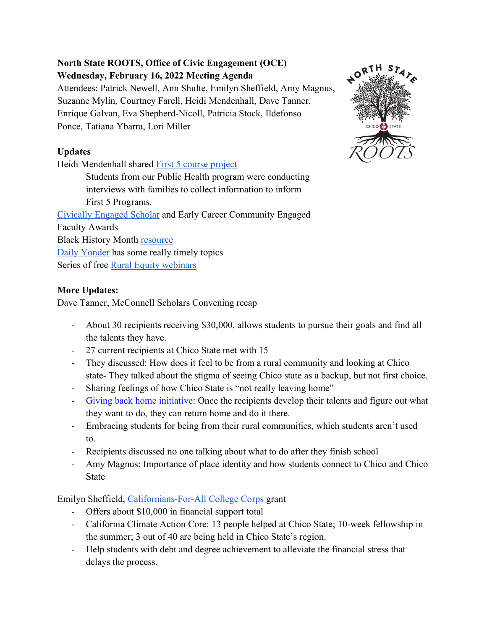# **North State ROOTS, Office of Civic Engagement (OCE) Wednesday, February 16, 2022 Meeting Agenda**

Attendees: Patrick Newell, Ann Shulte, Emilyn Sheffield, Amy Magnus, Suzanne Mylin, Courtney Farell, Heidi Mendenhall, Dave Tanner, Enrique Galvan, Eva Shepherd-Nicoll, Patricia Stock, Ildefonso Ponce, Tatiana Ybarra, Lori Miller

# **Updates**

Heidi Mendenhall shared [First 5 course project](https://he.cecollaboratory.com/csuchico/activities/78e68052-fb67-49da-5b9f-ea69e1b277a9)

Students from our Public Health program were conducting interviews with families to collect information to inform First 5 Programs. [Civically Engaged Scholar](https://www.csuchico.edu/civic/) and Early Career Community Engaged Faculty Awards Black History Month [resource](https://www.agdaily.com/writer/bre-holbert/)

[Daily Yonder](https://dailyyonder.com/) has some really timely topics

Series of free [Rural Equity webinars](https://www.csuchico.edu/civic/events/index.shtml)

### **More Updates:**

Dave Tanner, McConnell Scholars Convening recap

- About 30 recipients receiving \$30,000, allows students to pursue their goals and find all the talents they have.
- 27 current recipients at Chico State met with 15
- They discussed: How does it feel to be from a rural community and looking at Chico state- They talked about the stigma of seeing Chico state as a backup, but not first choice.
- Sharing feelings of how Chico State is "not really leaving home"
- [Giving back home initiative:](https://www.csuchico.edu/civic/initiatives/giving-back-home.shtml) Once the recipients develop their talents and figure out what they want to do, they can return home and do it there.
- Embracing students for being from their rural communities, which students aren't used to.
- Recipients discussed no one talking about what to do after they finish school
- Amy Magnus: Importance of place identity and how students connect to Chico and Chico State

Emilyn Sheffield, [Californians-For-All College Corps](https://www.californiavolunteers.ca.gov/californiansforall-college-corps/) grant

- Offers about \$10,000 in financial support total
- California Climate Action Core: 13 people helped at Chico State; 10-week fellowship in the summer; 3 out of 40 are being held in Chico State's region.
- Help students with debt and degree achievement to alleviate the financial stress that delays the process.